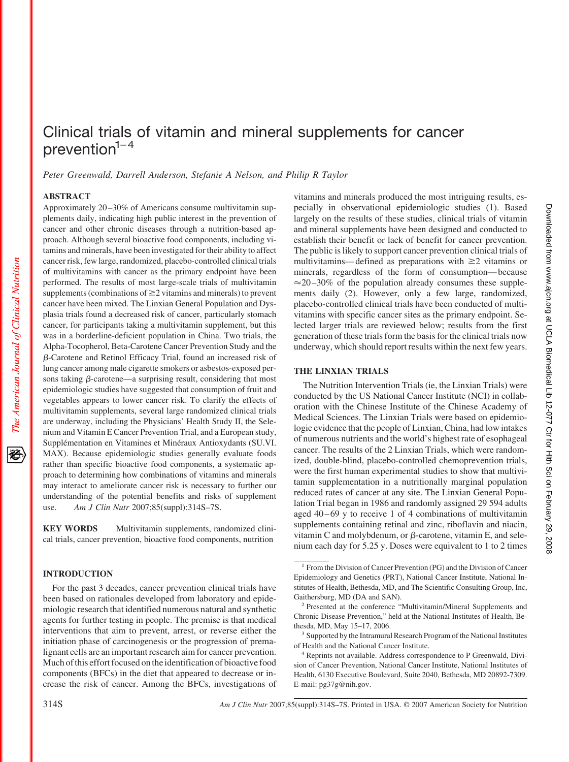# Clinical trials of vitamin and mineral supplements for cancer prevention $1-4$

*Peter Greenwald, Darrell Anderson, Stefanie A Nelson, and Philip R Taylor*

# **ABSTRACT**

The American Journal of Clinical Nutrition

Approximately 20 –30% of Americans consume multivitamin supplements daily, indicating high public interest in the prevention of cancer and other chronic diseases through a nutrition-based approach. Although several bioactive food components, including vitamins and minerals, have been investigated for their ability to affect cancer risk, few large, randomized, placebo-controlled clinical trials of multivitamins with cancer as the primary endpoint have been performed. The results of most large-scale trials of multivitamin supplements (combinations of  $\geq$ 2 vitamins and minerals) to prevent cancer have been mixed. The Linxian General Population and Dysplasia trials found a decreased risk of cancer, particularly stomach cancer, for participants taking a multivitamin supplement, but this was in a borderline-deficient population in China. Two trials, the Alpha-Tocopherol, Beta-Carotene Cancer Prevention Study and the -Carotene and Retinol Efficacy Trial, found an increased risk of lung cancer among male cigarette smokers or asbestos-exposed persons taking  $\beta$ -carotene—a surprising result, considering that most epidemiologic studies have suggested that consumption of fruit and vegetables appears to lower cancer risk. To clarify the effects of multivitamin supplements, several large randomized clinical trials are underway, including the Physicians' Health Study II, the Selenium and Vitamin E Cancer Prevention Trial, and a European study, Supplémentation en Vitamines et Minéraux Antioxydants (SU.VI. MAX). Because epidemiologic studies generally evaluate foods rather than specific bioactive food components, a systematic approach to determining how combinations of vitamins and minerals may interact to ameliorate cancer risk is necessary to further our understanding of the potential benefits and risks of supplement use. *Am J Clin Nutr* 2007;85(suppl):314S–7S.

**KEY WORDS** Multivitamin supplements, randomized clinical trials, cancer prevention, bioactive food components, nutrition

# **INTRODUCTION**

For the past 3 decades, cancer prevention clinical trials have been based on rationales developed from laboratory and epidemiologic research that identified numerous natural and synthetic agents for further testing in people. The premise is that medical interventions that aim to prevent, arrest, or reverse either the initiation phase of carcinogenesis or the progression of premalignant cells are an important research aim for cancer prevention. Much of this effort focused on the identification of bioactive food components (BFCs) in the diet that appeared to decrease or increase the risk of cancer. Among the BFCs, investigations of vitamins and minerals produced the most intriguing results, especially in observational epidemiologic studies (1). Based largely on the results of these studies, clinical trials of vitamin and mineral supplements have been designed and conducted to establish their benefit or lack of benefit for cancer prevention. The public is likely to support cancer prevention clinical trials of multivitamins—defined as preparations with  $\geq 2$  vitamins or minerals, regardless of the form of consumption— because  $\approx$  20–30% of the population already consumes these supplements daily (2). However, only a few large, randomized, placebo-controlled clinical trials have been conducted of multivitamins with specific cancer sites as the primary endpoint. Selected larger trials are reviewed below; results from the first generation of these trials form the basis for the clinical trials now underway, which should report results within the next few years.

# **THE LINXIAN TRIALS**

The Nutrition Intervention Trials (ie, the Linxian Trials) were conducted by the US National Cancer Institute (NCI) in collaboration with the Chinese Institute of the Chinese Academy of Medical Sciences. The Linxian Trials were based on epidemiologic evidence that the people of Linxian, China, had low intakes of numerous nutrients and the world's highest rate of esophageal cancer. The results of the 2 Linxian Trials, which were randomized, double-blind, placebo-controlled chemoprevention trials, were the first human experimental studies to show that multivitamin supplementation in a nutritionally marginal population reduced rates of cancer at any site. The Linxian General Population Trial began in 1986 and randomly assigned 29 594 adults aged  $40 - 69$  y to receive 1 of 4 combinations of multivitamin supplements containing retinal and zinc, riboflavin and niacin, vitamin C and molybdenum, or  $\beta$ -carotene, vitamin E, and selenium each day for 5.25 y. Doses were equivalent to 1 to 2 times

<sup>1</sup> From the Division of Cancer Prevention (PG) and the Division of Cancer Epidemiology and Genetics (PRT), National Cancer Institute, National Institutes of Health, Bethesda, MD, and The Scientific Consulting Group, Inc, Gaithersburg, MD (DA and SAN).

<sup>2</sup> Presented at the conference "Multivitamin/Mineral Supplements and Chronic Disease Prevention," held at the National Institutes of Health, Bethesda, MD, May 15–17, 2006.

<sup>&</sup>lt;sup>3</sup> Supported by the Intramural Research Program of the National Institutes of Health and the National Cancer Institute.

<sup>4</sup> Reprints not available. Address correspondence to P Greenwald, Division of Cancer Prevention, National Cancer Institute, National Institutes of Health, 6130 Executive Boulevard, Suite 2040, Bethesda, MD 20892-7309. E-mail: pg37g@nih.gov.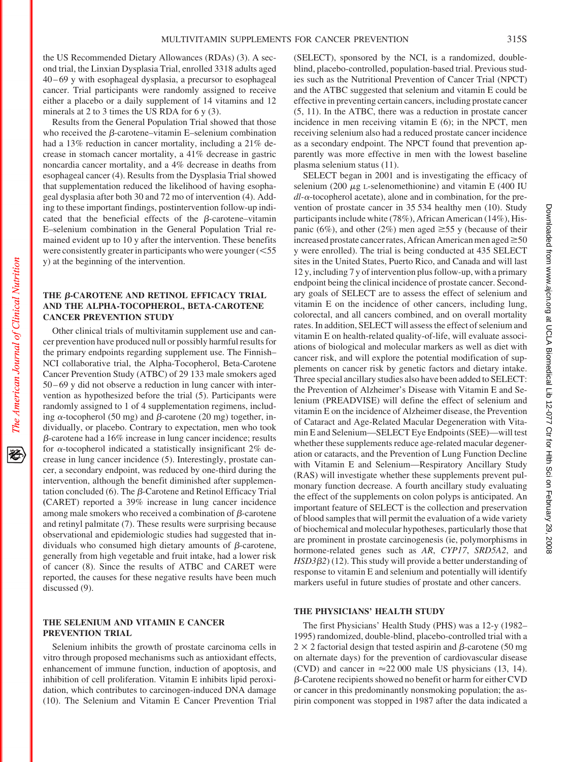the US Recommended Dietary Allowances (RDAs) (3). A second trial, the Linxian Dysplasia Trial, enrolled 3318 adults aged 40 – 69 y with esophageal dysplasia, a precursor to esophageal cancer. Trial participants were randomly assigned to receive either a placebo or a daily supplement of 14 vitamins and 12 minerals at 2 to 3 times the US RDA for 6 y (3).

Results from the General Population Trial showed that those who received the  $\beta$ -carotene–vitamin E–selenium combination had a 13% reduction in cancer mortality, including a 21% decrease in stomach cancer mortality, a 41% decrease in gastric noncardia cancer mortality, and a 4% decrease in deaths from esophageal cancer (4). Results from the Dysplasia Trial showed that supplementation reduced the likelihood of having esophageal dysplasia after both 30 and 72 mo of intervention (4). Adding to these important findings, postintervention follow-up indicated that the beneficial effects of the  $\beta$ -carotene–vitamin E–selenium combination in the General Population Trial remained evident up to 10 y after the intervention. These benefits were consistently greater in participants who were younger  $(<$ 55 y) at the beginning of the intervention.

## THE  $\beta$ **-CAROTENE AND RETINOL EFFICACY TRIAL AND THE ALPHA-TOCOPHEROL, BETA-CAROTENE CANCER PREVENTION STUDY**

Other clinical trials of multivitamin supplement use and cancer prevention have produced null or possibly harmful results for the primary endpoints regarding supplement use. The Finnish– NCI collaborative trial, the Alpha-Tocopherol, Beta-Carotene Cancer Prevention Study (ATBC) of 29 133 male smokers aged 50 – 69 y did not observe a reduction in lung cancer with intervention as hypothesized before the trial (5). Participants were randomly assigned to 1 of 4 supplementation regimens, including  $\alpha$ -tocopherol (50 mg) and  $\beta$ -carotene (20 mg) together, individually, or placebo. Contrary to expectation, men who took  $\beta$ -carotene had a 16% increase in lung cancer incidence; results for  $\alpha$ -tocopherol indicated a statistically insignificant 2% decrease in lung cancer incidence (5). Interestingly, prostate cancer, a secondary endpoint, was reduced by one-third during the intervention, although the benefit diminished after supplementation concluded (6). The  $\beta$ -Carotene and Retinol Efficacy Trial **(**CARET) reported a 39% increase in lung cancer incidence among male smokers who received a combination of  $\beta$ -carotene and retinyl palmitate (7). These results were surprising because observational and epidemiologic studies had suggested that individuals who consumed high dietary amounts of  $\beta$ -carotene, generally from high vegetable and fruit intake, had a lower risk of cancer (8). Since the results of ATBC and CARET were reported, the causes for these negative results have been much discussed (9).

# **THE SELENIUM AND VITAMIN E CANCER PREVENTION TRIAL**

Selenium inhibits the growth of prostate carcinoma cells in vitro through proposed mechanisms such as antioxidant effects, enhancement of immune function, induction of apoptosis, and inhibition of cell proliferation. Vitamin E inhibits lipid peroxidation, which contributes to carcinogen-induced DNA damage (10). The Selenium and Vitamin E Cancer Prevention Trial

(SELECT), sponsored by the NCI, is a randomized, doubleblind, placebo-controlled, population-based trial. Previous studies such as the Nutritional Prevention of Cancer Trial (NPCT) and the ATBC suggested that selenium and vitamin E could be effective in preventing certain cancers, including prostate cancer (5, 11). In the ATBC, there was a reduction in prostate cancer incidence in men receiving vitamin E (6); in the NPCT, men receiving selenium also had a reduced prostate cancer incidence as a secondary endpoint. The NPCT found that prevention apparently was more effective in men with the lowest baseline plasma selenium status (11).

SELECT began in 2001 and is investigating the efficacy of selenium (200  $\mu$ g L-selenomethionine) and vitamin E (400 IU  $dl$ - $\alpha$ -tocopherol acetate), alone and in combination, for the prevention of prostate cancer in 35 534 healthy men (10). Study participants include white (78%), African American (14%), Hispanic (6%), and other (2%) men aged  $\geq$ 55 y (because of their increased prostate cancer rates, African American men aged $\geq 50$ y were enrolled). The trial is being conducted at 435 SELECT sites in the United States, Puerto Rico, and Canada and will last 12 y, including 7 y of intervention plus follow-up, with a primary endpoint being the clinical incidence of prostate cancer. Secondary goals of SELECT are to assess the effect of selenium and vitamin E on the incidence of other cancers, including lung, colorectal, and all cancers combined, and on overall mortality rates. In addition, SELECT will assess the effect of selenium and vitamin E on health-related quality-of-life, will evaluate associations of biological and molecular markers as well as diet with cancer risk, and will explore the potential modification of supplements on cancer risk by genetic factors and dietary intake. Three special ancillary studies also have been added to SELECT: the Prevention of Alzheimer's Disease with Vitamin E and Selenium (PREADVISE) will define the effect of selenium and vitamin E on the incidence of Alzheimer disease, the Prevention of Cataract and Age-Related Macular Degeneration with Vitamin E and Selenium—SELECT Eye Endpoints (SEE)—will test whether these supplements reduce age-related macular degeneration or cataracts, and the Prevention of Lung Function Decline with Vitamin E and Selenium—Respiratory Ancillary Study (RAS) will investigate whether these supplements prevent pulmonary function decrease. A fourth ancillary study evaluating the effect of the supplements on colon polyps is anticipated. An important feature of SELECT is the collection and preservation of blood samples that will permit the evaluation of a wide variety of biochemical and molecular hypotheses, particularly those that are prominent in prostate carcinogenesis (ie, polymorphisms in hormone-related genes such as *AR*, *CYP17*, *SRD5A2*, and *HSD32*) (12). This study will provide a better understanding of response to vitamin E and selenium and potentially will identify markers useful in future studies of prostate and other cancers.

#### **THE PHYSICIANS' HEALTH STUDY**

The first Physicians' Health Study (PHS) was a 12-y (1982– 1995) randomized, double-blind, placebo-controlled trial with a  $2 \times 2$  factorial design that tested aspirin and  $\beta$ -carotene (50 mg) on alternate days) for the prevention of cardiovascular disease (CVD) and cancer in  $\approx$  22 000 male US physicians (13, 14). -Carotene recipients showed no benefit or harm for either CVD or cancer in this predominantly nonsmoking population; the aspirin component was stopped in 1987 after the data indicated a

移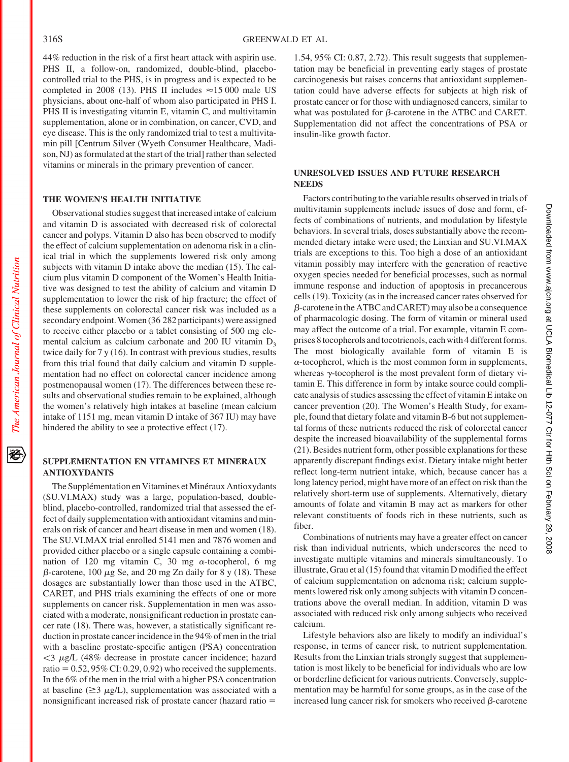44% reduction in the risk of a first heart attack with aspirin use. PHS II, a follow-on, randomized, double-blind, placebocontrolled trial to the PHS, is in progress and is expected to be completed in 2008 (13). PHS II includes  $\approx$  15 000 male US physicians, about one-half of whom also participated in PHS I. PHS II is investigating vitamin E, vitamin C, and multivitamin supplementation, alone or in combination, on cancer, CVD, and eye disease. This is the only randomized trial to test a multivitamin pill [Centrum Silver (Wyeth Consumer Healthcare, Madison, NJ) as formulated at the start of the trial] rather than selected vitamins or minerals in the primary prevention of cancer.

## **THE WOMEN'S HEALTH INITIATIVE**

Observational studies suggest that increased intake of calcium and vitamin D is associated with decreased risk of colorectal cancer and polyps. Vitamin D also has been observed to modify the effect of calcium supplementation on adenoma risk in a clinical trial in which the supplements lowered risk only among subjects with vitamin D intake above the median (15). The calcium plus vitamin D component of the Women's Health Initiative was designed to test the ability of calcium and vitamin D supplementation to lower the risk of hip fracture; the effect of these supplements on colorectal cancer risk was included as a secondary endpoint.Women (36 282 participants) were assigned to receive either placebo or a tablet consisting of 500 mg elemental calcium as calcium carbonate and 200 IU vitamin  $D_3$ twice daily for 7 y (16). In contrast with previous studies, results from this trial found that daily calcium and vitamin D supplementation had no effect on colorectal cancer incidence among postmenopausal women (17). The differences between these results and observational studies remain to be explained, although the women's relatively high intakes at baseline (mean calcium intake of 1151 mg, mean vitamin D intake of 367 IU) may have hindered the ability to see a protective effect (17).

### **SUPPLEMENTATION EN VITAMINES ET MINERAUX ANTIOXYDANTS**

The Supplémentation en Vitamines et Minéraux Antioxydants (SU.VI.MAX) study was a large, population-based, doubleblind, placebo-controlled, randomized trial that assessed the effect of daily supplementation with antioxidant vitamins and minerals on risk of cancer and heart disease in men and women (18). The SU.VI.MAX trial enrolled 5141 men and 7876 women and provided either placebo or a single capsule containing a combination of 120 mg vitamin C, 30 mg  $\alpha$ -tocopherol, 6 mg  $\beta$ -carotene, 100  $\mu$ g Se, and 20 mg Zn daily for 8 y (18). These dosages are substantially lower than those used in the ATBC, CARET, and PHS trials examining the effects of one or more supplements on cancer risk. Supplementation in men was associated with a moderate, nonsignificant reduction in prostate cancer rate (18). There was, however, a statistically significant reduction in prostate cancer incidence in the 94% of men in the trial with a baseline prostate-specific antigen (PSA) concentration  $<$ 3  $\mu$ g/L (48% decrease in prostate cancer incidence; hazard ratio  $= 0.52, 95\%$  CI: 0.29, 0.92) who received the supplements. In the 6% of the men in the trial with a higher PSA concentration at baseline ( $\geq$ 3  $\mu$ g/L), supplementation was associated with a nonsignificant increased risk of prostate cancer (hazard ratio =

1.54, 95% CI: 0.87, 2.72). This result suggests that supplementation may be beneficial in preventing early stages of prostate carcinogenesis but raises concerns that antioxidant supplementation could have adverse effects for subjects at high risk of prostate cancer or for those with undiagnosed cancers, similar to what was postulated for  $\beta$ -carotene in the ATBC and CARET. Supplementation did not affect the concentrations of PSA or insulin-like growth factor.

## **UNRESOLVED ISSUES AND FUTURE RESEARCH NEEDS**

Factors contributing to the variable results observed in trials of multivitamin supplements include issues of dose and form, effects of combinations of nutrients, and modulation by lifestyle behaviors. In several trials, doses substantially above the recommended dietary intake were used; the Linxian and SU.VI.MAX trials are exceptions to this. Too high a dose of an antioxidant vitamin possibly may interfere with the generation of reactive oxygen species needed for beneficial processes, such as normal immune response and induction of apoptosis in precancerous cells (19). Toxicity (as in the increased cancer rates observed for  $\beta$ -carotene in the ATBC and CARET) may also be a consequence of pharmacologic dosing. The form of vitamin or mineral used may affect the outcome of a trial. For example, vitamin E comprises 8 tocopherols and tocotrienols, each with 4 different forms. The most biologically available form of vitamin E is  $\alpha$ -tocopherol, which is the most common form in supplements, whereas  $\gamma$ -tocopherol is the most prevalent form of dietary vitamin E. This difference in form by intake source could complicate analysis of studies assessing the effect of vitamin E intake on cancer prevention (20). The Women's Health Study, for example, found that dietary folate and vitamin B-6 but not supplemental forms of these nutrients reduced the risk of colorectal cancer despite the increased bioavailability of the supplemental forms (21). Besides nutrient form, other possible explanations for these apparently discrepant findings exist. Dietary intake might better reflect long-term nutrient intake, which, because cancer has a long latency period, might have more of an effect on risk than the relatively short-term use of supplements. Alternatively, dietary amounts of folate and vitamin B may act as markers for other relevant constituents of foods rich in these nutrients, such as fiber.

Combinations of nutrients may have a greater effect on cancer risk than individual nutrients, which underscores the need to investigate multiple vitamins and minerals simultaneously. To illustrate, Grau et al (15) found that vitamin D modified the effect of calcium supplementation on adenoma risk; calcium supplements lowered risk only among subjects with vitamin D concentrations above the overall median. In addition, vitamin D was associated with reduced risk only among subjects who received calcium.

Lifestyle behaviors also are likely to modify an individual's response, in terms of cancer risk, to nutrient supplementation. Results from the Linxian trials strongly suggest that supplementation is most likely to be beneficial for individuals who are low or borderline deficient for various nutrients. Conversely, supplementation may be harmful for some groups, as in the case of the increased lung cancer risk for smokers who received  $\beta$ -carotene